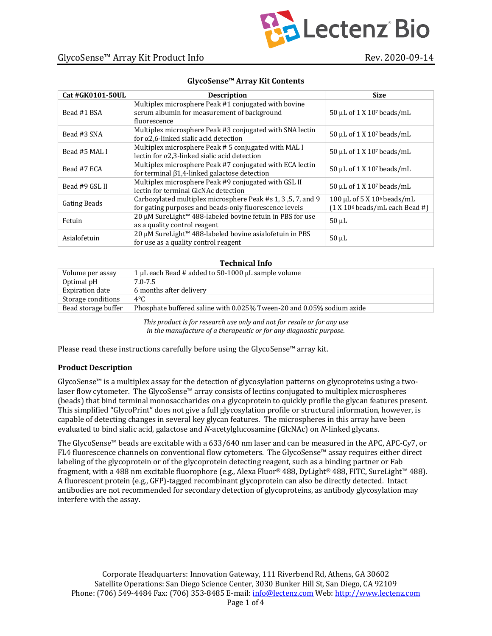

| <b>Cat #GK0101-50UL</b> | <b>Description</b>                                                                                                     | <b>Size</b>                                                                 |
|-------------------------|------------------------------------------------------------------------------------------------------------------------|-----------------------------------------------------------------------------|
| Bead #1 BSA             | Multiplex microsphere Peak #1 conjugated with bovine<br>serum albumin for measurement of background<br>fluorescence    | 50 μL of 1 X 10 <sup>7</sup> beads/mL                                       |
| Bead #3 SNA             | Multiplex microsphere Peak #3 conjugated with SNA lectin<br>for $\alpha$ 2,6-linked sialic acid detection              | 50 µL of 1 X 107 beads/mL                                                   |
| Bead #5 MAL I           | Multiplex microsphere Peak #5 conjugated with MAL I<br>lectin for $\alpha$ 2,3-linked sialic acid detection            | $50 \mu L$ of 1 X 10 <sup>7</sup> beads/mL                                  |
| Bead #7 ECA             | Multiplex microsphere Peak #7 conjugated with ECA lectin<br>for terminal $\beta$ 1,4-linked galactose detection        | 50 µL of 1 X 107 beads/mL                                                   |
| Bead #9 GSL II          | Multiplex microsphere Peak #9 conjugated with GSL II<br>lectin for terminal GlcNAc detection                           | 50 µL of 1 X 10 <sup>7</sup> beads/mL                                       |
| <b>Gating Beads</b>     | Carboxylated multiplex microsphere Peak #s 1, 3, 5, 7, and 9<br>for gating purposes and beads-only fluorescence levels | 100 μL of 5 X 10 <sup>6</sup> beads/mL<br>$(1 X 106 beads/mL each Bead \#)$ |
| Fetuin                  | 20 µM SureLight™ 488-labeled bovine fetuin in PBS for use<br>as a quality control reagent                              | $50 \mu L$                                                                  |
| Asialofetuin            | 20 µM SureLight™ 488-labeled bovine asialofetuin in PBS<br>for use as a quality control reagent                        | $50 \mu L$                                                                  |

#### **GlycoSense™ Array Kit Contents**

#### **Technical Info**

| Volume per assay       | 1 $\mu$ L each Bead # added to 50-1000 $\mu$ L sample volume          |  |
|------------------------|-----------------------------------------------------------------------|--|
| Optimal pH             | 7.0-7.5                                                               |  |
| <b>Expiration date</b> | 6 months after delivery                                               |  |
| Storage conditions     | $4^{\circ}$ C                                                         |  |
| Bead storage buffer    | Phosphate buffered saline with 0.025% Tween-20 and 0.05% sodium azide |  |
|                        |                                                                       |  |

This product is for research use only and not for resale or for any use *in the manufacture of a therapeutic or for any diagnostic purpose.* 

Please read these instructions carefully before using the GlycoSense<sup>™</sup> array kit.

### **Product Description**

GlycoSense<sup>™</sup> is a multiplex assay for the detection of glycosylation patterns on glycoproteins using a two $laser flow cytometer. The GlycoSense<sup>TM</sup> array consists of lectins conjugated to multiplex microspheres$ (beads) that bind terminal monosaccharides on a glycoprotein to quickly profile the glycan features present. This simplified "GlycoPrint" does not give a full glycosylation profile or structural information, however, is capable of detecting changes in several key glycan features. The microspheres in this array have been evaluated to bind sialic acid, galactose and *N*-acetylglucosamine (GlcNAc) on *N*-linked glycans.

The GlycoSense<sup>™</sup> beads are excitable with a 633/640 nm laser and can be measured in the APC, APC-Cy7, or  $FL4$  fluorescence channels on conventional flow cytometers. The GlycoSense<sup>m</sup> assay requires either direct labeling of the glycoprotein or of the glycoprotein detecting reagent, such as a binding partner or Fab fragment, with a 488 nm excitable fluorophore (e.g., Alexa Fluor® 488, DyLight® 488, FITC, SureLight™ 488). A fluorescent protein (e.g., GFP)-tagged recombinant glycoprotein can also be directly detected. Intact antibodies are not recommended for secondary detection of glycoproteins, as antibody glycosylation may interfere with the assay.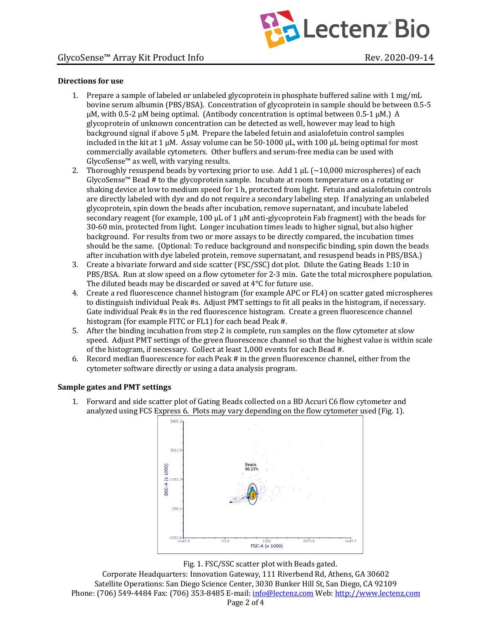

## **Directions** for use

- 1. Prepare a sample of labeled or unlabeled glycoprotein in phosphate buffered saline with  $1 \text{ mg/mL}$ bovine serum albumin (PBS/BSA). Concentration of glycoprotein in sample should be between 0.5-5  $\mu$ M, with 0.5-2  $\mu$ M being optimal. (Antibody concentration is optimal between 0.5-1  $\mu$ M.) A glycoprotein of unknown concentration can be detected as well, however may lead to high background signal if above  $5 \mu M$ . Prepare the labeled fetuin and asialofetuin control samples included in the kit at 1  $\mu$ M. Assay volume can be 50-1000  $\mu$ L, with 100  $\mu$ L being optimal for most commercially available cytometers. Other buffers and serum-free media can be used with  $GlycoSense<sup>™</sup>$  as well, with varying results.
- 2. Thoroughly resuspend beads by vortexing prior to use. Add 1  $\mu$ L (~10,000 microspheres) of each GlycoSense™ Bead # to the glycoprotein sample. Incubate at room temperature on a rotating or shaking device at low to medium speed for 1 h, protected from light. Fetuin and asialofetuin controls are directly labeled with dye and do not require a secondary labeling step. If analyzing an unlabeled glycoprotein, spin down the beads after incubation, remove supernatant, and incubate labeled secondary reagent (for example, 100  $\mu$ L of 1  $\mu$ M anti-glycoprotein Fab fragment) with the beads for 30-60 min, protected from light. Longer incubation times leads to higher signal, but also higher background. For results from two or more assays to be directly compared, the incubation times should be the same. (Optional: To reduce background and nonspecific binding, spin down the beads after incubation with dye labeled protein, remove supernatant, and resuspend beads in PBS/BSA.)
- 3. Create a bivariate forward and side scatter (FSC/SSC) dot plot. Dilute the Gating Beads 1:10 in PBS/BSA. Run at slow speed on a flow cytometer for 2-3 min. Gate the total microsphere population. The diluted beads may be discarded or saved at  $4^{\circ}$ C for future use.
- 4. Create a red fluorescence channel histogram (for example APC or FL4) on scatter gated microspheres to distinguish individual Peak #s. Adjust PMT settings to fit all peaks in the histogram, if necessary. Gate individual Peak #s in the red fluorescence histogram. Create a green fluorescence channel histogram (for example FITC or FL1) for each bead Peak #.
- 5. After the binding incubation from step 2 is complete, run samples on the flow cytometer at slow speed. Adjust PMT settings of the green fluorescence channel so that the highest value is within scale of the histogram, if necessary. Collect at least 1,000 events for each Bead #.
- 6. Record median fluorescence for each Peak  $#$  in the green fluorescence channel, either from the cytometer software directly or using a data analysis program.

## **Sample gates and PMT settings**

1. Forward and side scatter plot of Gating Beads collected on a BD Accuri C6 flow cytometer and analyzed using FCS Express 6. Plots may vary depending on the flow cytometer used (Fig. 1).





Corporate Headquarters: Innovation Gateway, 111 Riverbend Rd, Athens, GA 30602 Satellite Operations: San Diego Science Center, 3030 Bunker Hill St, San Diego, CA 92109 Phone: (706) 549-4484 Fax: (706) 353-8485 E-mail: info@lectenz.com Web: http://www.lectenz.com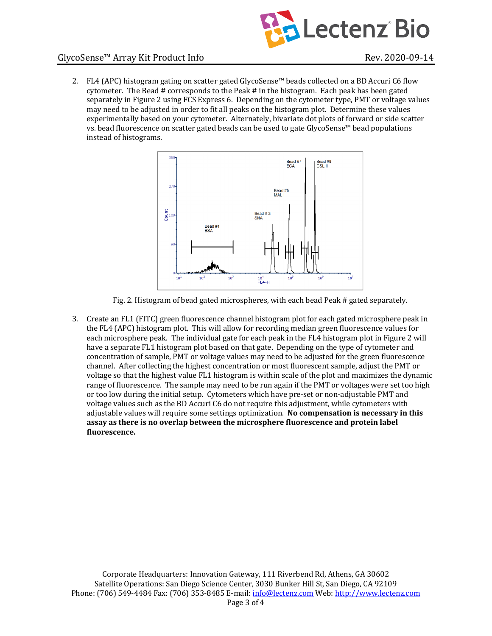

2. FL4 (APC) histogram gating on scatter gated GlycoSense™ beads collected on a BD Accuri C6 flow cytometer. The Bead  $#$  corresponds to the Peak  $#$  in the histogram. Each peak has been gated separately in Figure 2 using FCS Express 6. Depending on the cytometer type, PMT or voltage values may need to be adjusted in order to fit all peaks on the histogram plot. Determine these values experimentally based on your cytometer. Alternately, bivariate dot plots of forward or side scatter vs. bead fluorescence on scatter gated beads can be used to gate GlycoSense™ bead populations instead of histograms.



Fig. 2. Histogram of bead gated microspheres, with each bead Peak # gated separately.

3. Create an FL1 (FITC) green fluorescence channel histogram plot for each gated microsphere peak in the FL4 (APC) histogram plot. This will allow for recording median green fluorescence values for each microsphere peak. The individual gate for each peak in the FL4 histogram plot in Figure 2 will have a separate FL1 histogram plot based on that gate. Depending on the type of cytometer and concentration of sample, PMT or voltage values may need to be adjusted for the green fluorescence channel. After collecting the highest concentration or most fluorescent sample, adjust the PMT or voltage so that the highest value FL1 histogram is within scale of the plot and maximizes the dynamic range of fluorescence. The sample may need to be run again if the PMT or voltages were set too high or too low during the initial setup. Cytometers which have pre-set or non-adjustable PMT and voltage values such as the BD Accuri C6 do not require this adjustment, while cytometers with adjustable values will require some settings optimization. No compensation is necessary in this assay as there is no overlap between the microsphere fluorescence and protein label **fluorescence.**